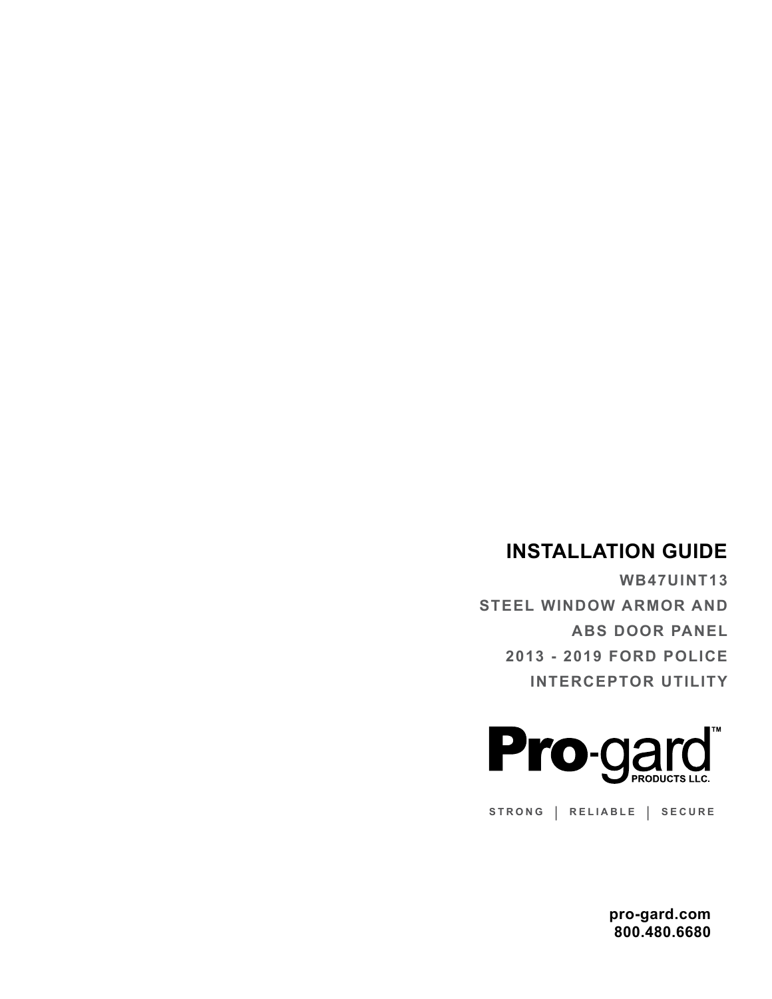## **INSTALLATION GUIDE**

**WB47UINT13 STEEL WINDOW ARMOR AND ABS DOOR PANEL 2013 - 2019 FORD POLICE INTERCEPTOR UTILITY**



**STRONG | RELIABLE | SECURE**

**pro-gard.com 800.480.6680**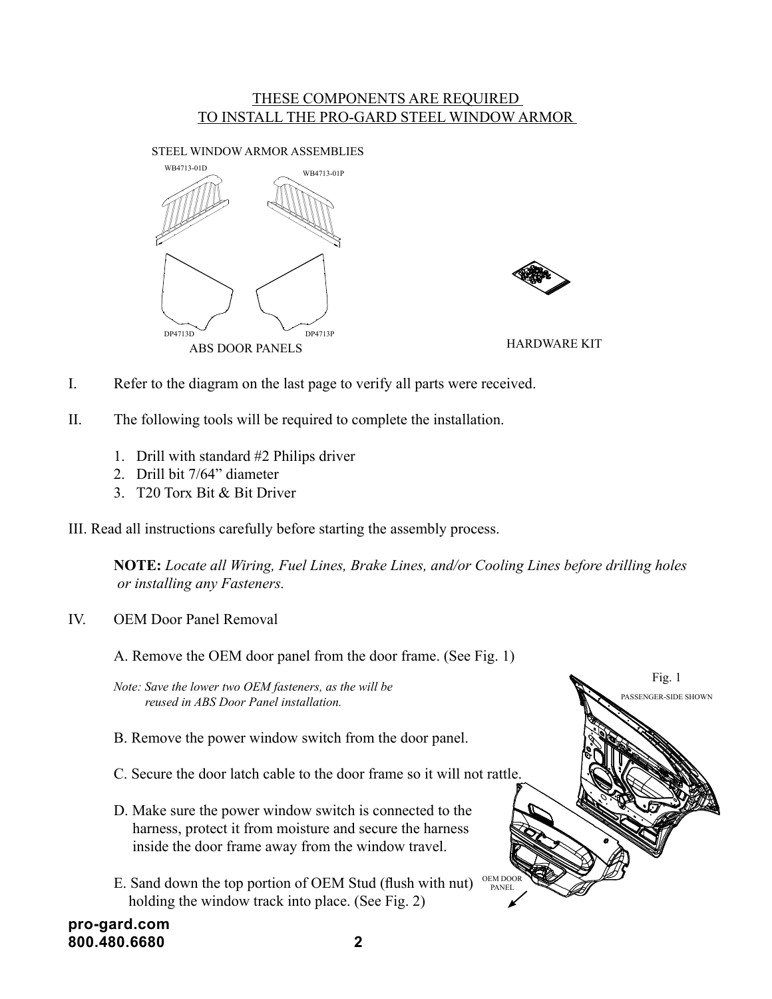## THESE COMPONENTS ARE REQUIRED TO INSTALL THE PRO-GARD STEEL WINDOW ARMOR

STEEL WINDOW ARMOR ASSEMBLIES





- I. Refer to the diagram on the last page to verify all parts were received.
- II. The following tools will be required to complete the installation.
	- 1. Drill with standard #2 Philips driver
	- 2. Drill bit 7/64" diameter
	- 3. T20 Torx Bit & Bit Driver

III. Read all instructions carefully before starting the assembly process.

**NOTE:** *Locate all Wiring, Fuel Lines, Brake Lines, and/or Cooling Lines before drilling holes or installing any Fasteners.*

IV. OEM Door Panel Removal

A. Remove the OEM door panel from the door frame. (See Fig. 1)

*Note: Save the lower two OEM fasteners, as the will be reused in ABS Door Panel installation.*

- B. Remove the power window switch from the door panel.
- C. Secure the door latch cable to the door frame so it will not rattle.
- D. Make sure the power window switch is connected to the harness, protect it from moisture and secure the harness inside the door frame away from the window travel.
- E. Sand down the top portion of OEM Stud (flush with nut) holding the window track into place. (See Fig. 2)



**pro-gard.com 800.480.6680 2**